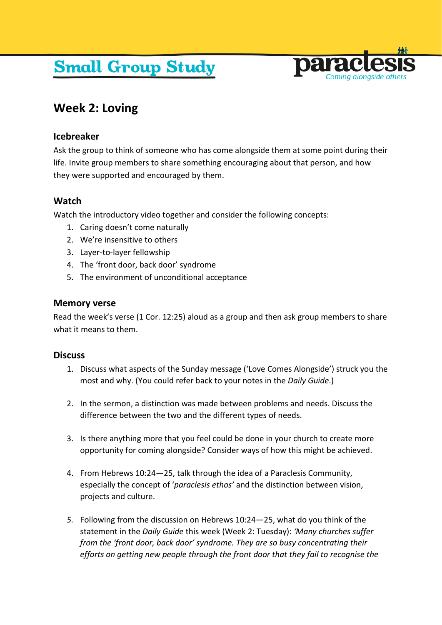# **Small Group Study**



# **Week 2: Loving**

### **Icebreaker**

Ask the group to think of someone who has come alongside them at some point during their life. Invite group members to share something encouraging about that person, and how they were supported and encouraged by them.

## **Watch**

Watch the introductory video together and consider the following concepts:

- 1. Caring doesn't come naturally
- 2. We're insensitive to others
- 3. Layer-to-layer fellowship
- 4. The 'front door, back door' syndrome
- 5. The environment of unconditional acceptance

#### **Memory verse**

Read the week's verse (1 Cor. 12:25) aloud as a group and then ask group members to share what it means to them.

#### **Discuss**

- 1. Discuss what aspects of the Sunday message ('Love Comes Alongside') struck you the most and why. (You could refer back to your notes in the *Daily Guide*.)
- 2. In the sermon, a distinction was made between problems and needs. Discuss the difference between the two and the different types of needs.
- 3. Is there anything more that you feel could be done in your church to create more opportunity for coming alongside? Consider ways of how this might be achieved.
- 4. From Hebrews 10:24—25, talk through the idea of a Paraclesis Community, especially the concept of '*paraclesis ethos'* and the distinction between vision, projects and culture.
- *5.* Following from the discussion on Hebrews 10:24—25, what do you think of the statement in the *Daily Guide* this week (Week 2: Tuesday): *'Many churches suffer from the 'front door, back door' syndrome. They are so busy concentrating their efforts on getting new people through the front door that they fail to recognise the*